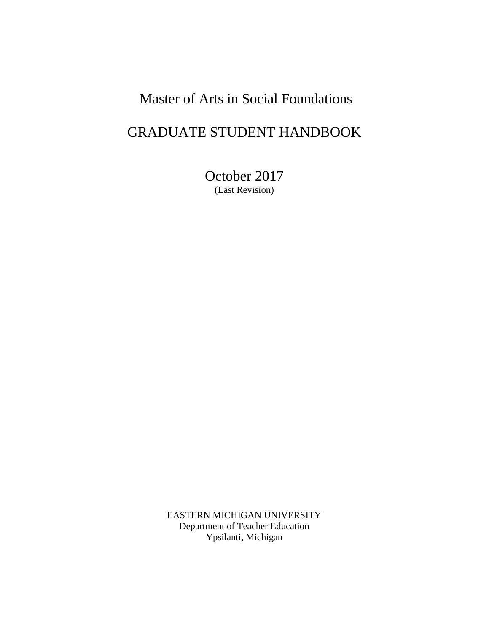# Master of Arts in Social Foundations

# GRADUATE STUDENT HANDBOOK

October 2017 (Last Revision)

EASTERN MICHIGAN UNIVERSITY Department of Teacher Education Ypsilanti, Michigan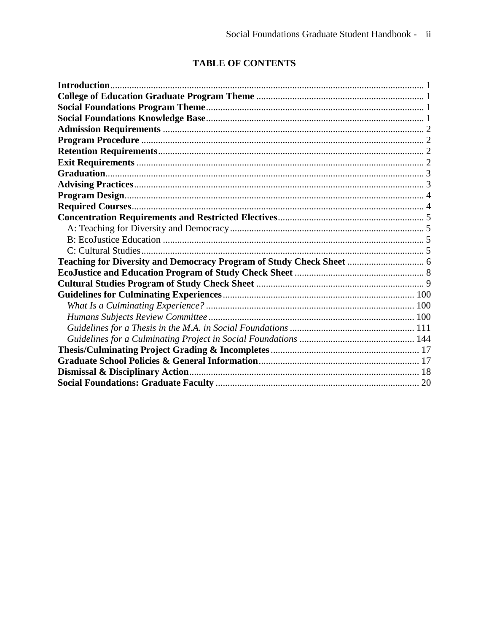# **TABLE OF CONTENTS**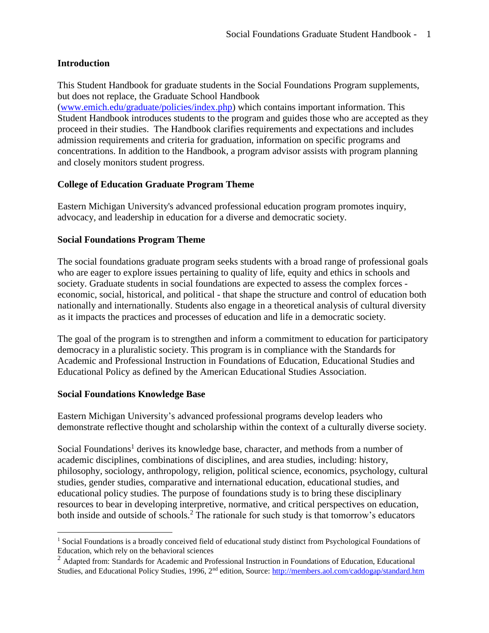# <span id="page-2-0"></span>**Introduction**

This Student Handbook for graduate students in the Social Foundations Program supplements, but does not replace, the Graduate School Handbook

[\(www.emich.edu/graduate/policies/index.php\)](http://www.emich.edu/graduate/policies/index.php) which contains important information. This Student Handbook introduces students to the program and guides those who are accepted as they proceed in their studies. The Handbook clarifies requirements and expectations and includes admission requirements and criteria for graduation, information on specific programs and concentrations. In addition to the Handbook, a program advisor assists with program planning and closely monitors student progress.

# <span id="page-2-1"></span>**College of Education Graduate Program Theme**

Eastern Michigan University's advanced professional education program promotes inquiry, advocacy, and leadership in education for a diverse and democratic society.

# <span id="page-2-2"></span>**Social Foundations Program Theme**

The social foundations graduate program seeks students with a broad range of professional goals who are eager to explore issues pertaining to quality of life, equity and ethics in schools and society. Graduate students in social foundations are expected to assess the complex forces economic, social, historical, and political - that shape the structure and control of education both nationally and internationally. Students also engage in a theoretical analysis of cultural diversity as it impacts the practices and processes of education and life in a democratic society.

The goal of the program is to strengthen and inform a commitment to education for participatory democracy in a pluralistic society. This program is in compliance with the Standards for Academic and Professional Instruction in Foundations of Education, Educational Studies and Educational Policy as defined by the American Educational Studies Association.

# <span id="page-2-3"></span>**Social Foundations Knowledge Base**

 $\overline{a}$ 

Eastern Michigan University's advanced professional programs develop leaders who demonstrate reflective thought and scholarship within the context of a culturally diverse society.

Social Foundations<sup>1</sup> derives its knowledge base, character, and methods from a number of academic disciplines, combinations of disciplines, and area studies, including: history, philosophy, sociology, anthropology, religion, political science, economics, psychology, cultural studies, gender studies, comparative and international education, educational studies, and educational policy studies. The purpose of foundations study is to bring these disciplinary resources to bear in developing interpretive, normative, and critical perspectives on education, both inside and outside of schools.<sup>2</sup> The rationale for such study is that tomorrow's educators

<sup>&</sup>lt;sup>1</sup> Social Foundations is a broadly conceived field of educational study distinct from Psychological Foundations of Education, which rely on the behavioral sciences

<sup>&</sup>lt;sup>2</sup> Adapted from: Standards for Academic and Professional Instruction in Foundations of Education, Educational Studies, and Educational Policy Studies, 1996, 2<sup>nd</sup> edition, Source: <http://members.aol.com/caddogap/standard.htm>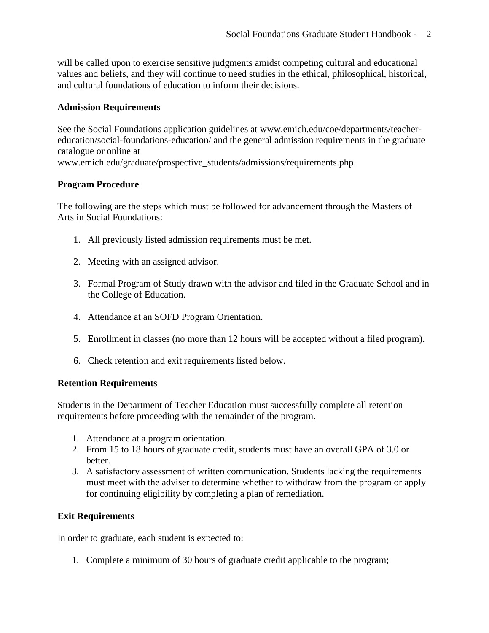will be called upon to exercise sensitive judgments amidst competing cultural and educational values and beliefs, and they will continue to need studies in the ethical, philosophical, historical, and cultural foundations of education to inform their decisions.

## <span id="page-3-0"></span>**Admission Requirements**

See the Social Foundations application guidelines at www.emich.edu/coe/departments/teachereducation/social-foundations-education/ and the general admission requirements in the graduate catalogue or online at

www.emich.edu/graduate/prospective\_students/admissions/requirements.php.

# <span id="page-3-1"></span>**Program Procedure**

The following are the steps which must be followed for advancement through the Masters of Arts in Social Foundations:

- 1. All previously listed admission requirements must be met.
- 2. Meeting with an assigned advisor.
- 3. Formal Program of Study drawn with the advisor and filed in the Graduate School and in the College of Education.
- 4. Attendance at an SOFD Program Orientation.
- 5. Enrollment in classes (no more than 12 hours will be accepted without a filed program).
- 6. Check retention and exit requirements listed below.

# <span id="page-3-2"></span>**Retention Requirements**

Students in the Department of Teacher Education must successfully complete all retention requirements before proceeding with the remainder of the program.

- 1. Attendance at a program orientation.
- 2. From 15 to 18 hours of graduate credit, students must have an overall GPA of 3.0 or better.
- 3. A satisfactory assessment of written communication. Students lacking the requirements must meet with the adviser to determine whether to withdraw from the program or apply for continuing eligibility by completing a plan of remediation.

# **Exit Requirements**

In order to graduate, each student is expected to:

1. Complete a minimum of 30 hours of graduate credit applicable to the program;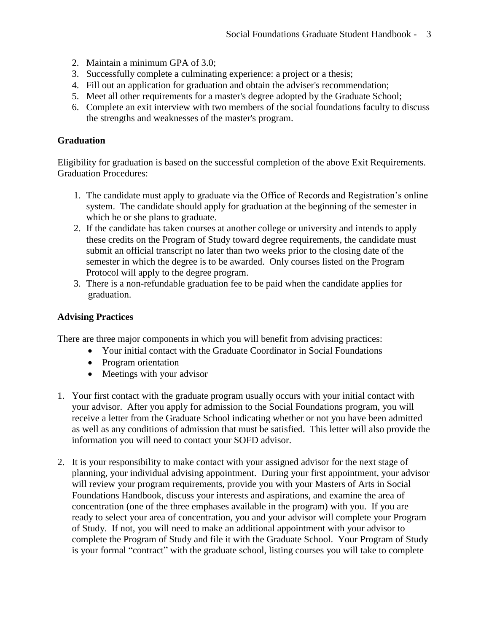- 2. Maintain a minimum GPA of 3.0;
- 3. Successfully complete a culminating experience: a project or a thesis;
- 4. Fill out an application for graduation and obtain the adviser's recommendation;
- 5. Meet all other requirements for a master's degree adopted by the Graduate School;
- 6. Complete an exit interview with two members of the social foundations faculty to discuss the strengths and weaknesses of the master's program.

## <span id="page-4-0"></span>**Graduation**

Eligibility for graduation is based on the successful completion of the above Exit Requirements. Graduation Procedures:

- 1. The candidate must apply to graduate via the Office of Records and Registration's online system. The candidate should apply for graduation at the beginning of the semester in which he or she plans to graduate.
- 2. If the candidate has taken courses at another college or university and intends to apply these credits on the Program of Study toward degree requirements, the candidate must submit an official transcript no later than two weeks prior to the closing date of the semester in which the degree is to be awarded. Only courses listed on the Program Protocol will apply to the degree program.
- 3. There is a non-refundable graduation fee to be paid when the candidate applies for graduation.

## <span id="page-4-1"></span>**Advising Practices**

There are three major components in which you will benefit from advising practices:

- Your initial contact with the Graduate Coordinator in Social Foundations
- Program orientation
- Meetings with your advisor
- 1. Your first contact with the graduate program usually occurs with your initial contact with your advisor. After you apply for admission to the Social Foundations program, you will receive a letter from the Graduate School indicating whether or not you have been admitted as well as any conditions of admission that must be satisfied. This letter will also provide the information you will need to contact your SOFD advisor.
- 2. It is your responsibility to make contact with your assigned advisor for the next stage of planning, your individual advising appointment. During your first appointment, your advisor will review your program requirements, provide you with your Masters of Arts in Social Foundations Handbook, discuss your interests and aspirations, and examine the area of concentration (one of the three emphases available in the program) with you. If you are ready to select your area of concentration, you and your advisor will complete your Program of Study. If not, you will need to make an additional appointment with your advisor to complete the Program of Study and file it with the Graduate School. Your Program of Study is your formal "contract" with the graduate school, listing courses you will take to complete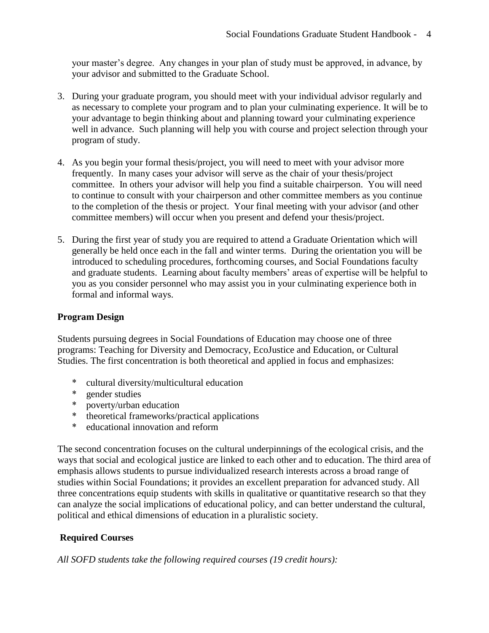your master's degree. Any changes in your plan of study must be approved, in advance, by your advisor and submitted to the Graduate School.

- 3. During your graduate program, you should meet with your individual advisor regularly and as necessary to complete your program and to plan your culminating experience. It will be to your advantage to begin thinking about and planning toward your culminating experience well in advance. Such planning will help you with course and project selection through your program of study.
- 4. As you begin your formal thesis/project, you will need to meet with your advisor more frequently. In many cases your advisor will serve as the chair of your thesis/project committee. In others your advisor will help you find a suitable chairperson. You will need to continue to consult with your chairperson and other committee members as you continue to the completion of the thesis or project. Your final meeting with your advisor (and other committee members) will occur when you present and defend your thesis/project.
- 5. During the first year of study you are required to attend a Graduate Orientation which will generally be held once each in the fall and winter terms. During the orientation you will be introduced to scheduling procedures, forthcoming courses, and Social Foundations faculty and graduate students. Learning about faculty members' areas of expertise will be helpful to you as you consider personnel who may assist you in your culminating experience both in formal and informal ways.

# <span id="page-5-0"></span>**Program Design**

Students pursuing degrees in Social Foundations of Education may choose one of three programs: Teaching for Diversity and Democracy, EcoJustice and Education, or Cultural Studies. The first concentration is both theoretical and applied in focus and emphasizes:

- \* cultural diversity/multicultural education<br>\* conder studies
- gender studies
- \* poverty/urban education
- \* theoretical frameworks/practical applications
- \* educational innovation and reform

The second concentration focuses on the cultural underpinnings of the ecological crisis, and the ways that social and ecological justice are linked to each other and to education. The third area of emphasis allows students to pursue individualized research interests across a broad range of studies within Social Foundations; it provides an excellent preparation for advanced study. All three concentrations equip students with skills in qualitative or quantitative research so that they can analyze the social implications of educational policy, and can better understand the cultural, political and ethical dimensions of education in a pluralistic society.

# **Required Courses**

*All SOFD students take the following required courses (19 credit hours):*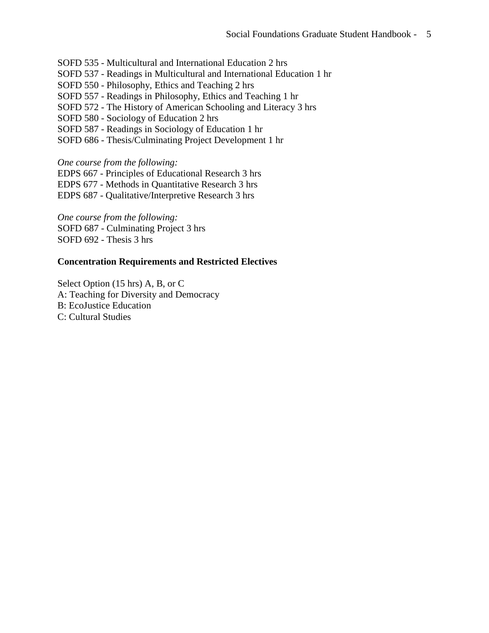SOFD 535 - [Multicultural and International Education](http://catalog.emich.edu/preview_program.php?catoid=9&poid=4403&returnto=543) 2 hrs

SOFD 537 - [Readings in Multicultural and International Education](http://catalog.emich.edu/preview_program.php?catoid=9&poid=4403&returnto=543) 1 hr

SOFD 550 - [Philosophy, Ethics and Teaching](http://catalog.emich.edu/preview_program.php?catoid=9&poid=4403&returnto=543) 2 hrs

SOFD 557 - [Readings in Philosophy, Ethics and Teaching](http://catalog.emich.edu/preview_program.php?catoid=9&poid=4403&returnto=543) 1 hr

SOFD 572 - [The History of American Schooling and Literacy](http://catalog.emich.edu/preview_program.php?catoid=9&poid=4403&returnto=543) 3 hrs

SOFD 580 - [Sociology of Education](http://catalog.emich.edu/preview_program.php?catoid=9&poid=4403&returnto=543) 2 hrs

SOFD 587 - [Readings in Sociology of Education](http://catalog.emich.edu/preview_program.php?catoid=9&poid=4403&returnto=543) 1 hr

SOFD 686 - [Thesis/Culminating Project Development](http://catalog.emich.edu/preview_program.php?catoid=9&poid=4403&returnto=543) 1 hr

*One course from the following:*

EDPS 667 - [Principles of Educational Research](http://catalog.emich.edu/preview_program.php?catoid=9&poid=4403&returnto=543) 3 hrs

EDPS 677 - [Methods in Quantitative Research](http://catalog.emich.edu/preview_program.php?catoid=9&poid=4403&returnto=543) 3 hrs

EDPS 687 - [Qualitative/Interpretive Research](http://catalog.emich.edu/preview_program.php?catoid=9&poid=4403&returnto=543) 3 hrs

*One course from the following:* SOFD 687 - [Culminating Project](http://catalog.emich.edu/preview_program.php?catoid=9&poid=4403&returnto=543) 3 hrs [SOFD 692](http://catalog.emich.edu/preview_program.php?catoid=9&poid=4403&returnto=543) - Thesis 3 hrs

#### <span id="page-6-0"></span>**Concentration Requirements and Restricted Electives**

<span id="page-6-3"></span><span id="page-6-2"></span><span id="page-6-1"></span>Select Option (15 hrs) A, B, or C A: Teaching for Diversity and Democracy B: EcoJustice Education C: Cultural Studies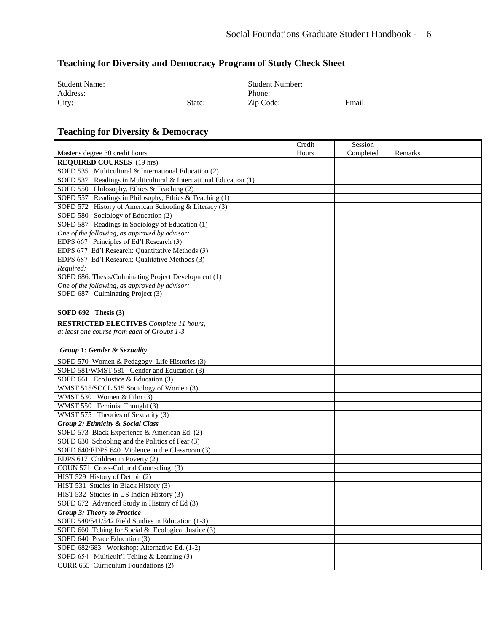# <span id="page-7-0"></span>**Teaching for Diversity and Democracy Program of Study Check Sheet**

| <b>Student Name:</b> |        | <b>Student Number:</b> |        |
|----------------------|--------|------------------------|--------|
| Address:             |        | Phone:                 |        |
| City:                | State: | Zip Code:              | Email: |

# **Teaching for Diversity & Democracy**

| Hours | Remarks   |
|-------|-----------|
|       |           |
|       |           |
|       |           |
|       |           |
|       |           |
|       |           |
|       |           |
|       |           |
|       |           |
|       |           |
|       |           |
|       |           |
|       |           |
|       |           |
|       |           |
|       |           |
|       |           |
|       |           |
|       |           |
|       |           |
|       |           |
|       |           |
|       |           |
|       |           |
|       |           |
|       |           |
|       |           |
|       |           |
|       |           |
|       |           |
|       |           |
|       |           |
|       |           |
|       |           |
|       |           |
|       |           |
|       |           |
|       |           |
|       |           |
|       |           |
|       |           |
|       |           |
|       |           |
|       |           |
|       | Completed |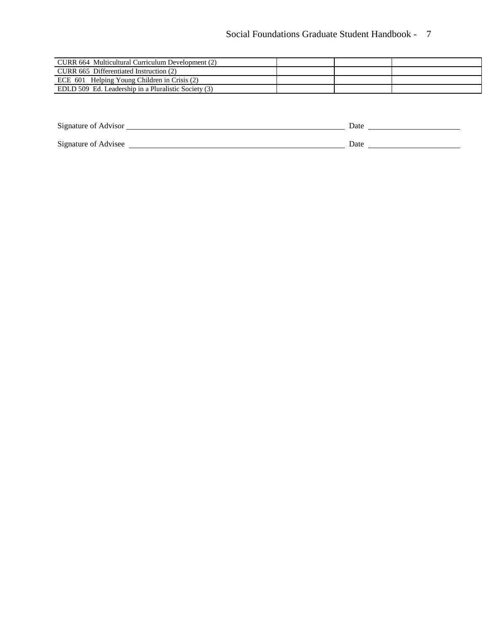# Social Foundations Graduate Student Handbook - 7

| CURR 664 Multicultural Curriculum Development (2)    |  |  |
|------------------------------------------------------|--|--|
| CURR 665 Differentiated Instruction (2)              |  |  |
| ECE 601 Helping Young Children in Crisis (2)         |  |  |
| EDLD 509 Ed. Leadership in a Pluralistic Society (3) |  |  |

<span id="page-8-0"></span>

| Signature of Advisor | Date |
|----------------------|------|
| Signature of Advisee | Date |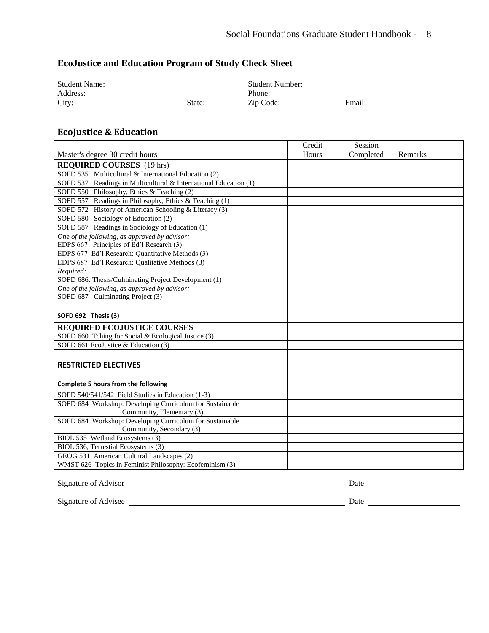# **EcoJustice and Education Program of Study Check Sheet**

| <b>Student Name:</b> |        | <b>Student Number:</b> |        |
|----------------------|--------|------------------------|--------|
| Address:             |        | Phone:                 |        |
| City:                | State: | Zip Code:              | Email: |

# **EcoJustice & Education**

|                                                                                      | Credit | Session    |         |
|--------------------------------------------------------------------------------------|--------|------------|---------|
| Master's degree 30 credit hours                                                      | Hours  | Completed  | Remarks |
| <b>REQUIRED COURSES</b> (19 hrs)                                                     |        |            |         |
| SOFD 535 Multicultural & International Education (2)                                 |        |            |         |
| SOFD 537 Readings in Multicultural & International Education (1)                     |        |            |         |
| SOFD 550 Philosophy, Ethics & Teaching (2)                                           |        |            |         |
| SOFD 557 Readings in Philosophy, Ethics & Teaching (1)                               |        |            |         |
| SOFD 572 History of American Schooling & Literacy (3)                                |        |            |         |
| SOFD 580 Sociology of Education (2)                                                  |        |            |         |
| SOFD 587 Readings in Sociology of Education (1)                                      |        |            |         |
| One of the following, as approved by advisor:                                        |        |            |         |
| EDPS 667 Principles of Ed'l Research (3)                                             |        |            |         |
| EDPS 677 Ed'l Research: Quantitative Methods (3)                                     |        |            |         |
| EDPS 687 Ed'l Research: Qualitative Methods (3)                                      |        |            |         |
| Required:                                                                            |        |            |         |
| SOFD 686: Thesis/Culminating Project Development (1)                                 |        |            |         |
| One of the following, as approved by advisor:                                        |        |            |         |
| SOFD 687 Culminating Project (3)                                                     |        |            |         |
|                                                                                      |        |            |         |
| SOFD 692 Thesis (3)                                                                  |        |            |         |
| <b>REQUIRED ECOJUSTICE COURSES</b>                                                   |        |            |         |
| SOFD 660 Tching for Social & Ecological Justice (3)                                  |        |            |         |
| SOFD 661 EcoJustice & Education (3)                                                  |        |            |         |
|                                                                                      |        |            |         |
| <b>RESTRICTED ELECTIVES</b>                                                          |        |            |         |
|                                                                                      |        |            |         |
| Complete 5 hours from the following                                                  |        |            |         |
|                                                                                      |        |            |         |
| SOFD 540/541/542 Field Studies in Education (1-3)                                    |        |            |         |
| SOFD 684 Workshop: Developing Curriculum for Sustainable                             |        |            |         |
| Community, Elementary (3)                                                            |        |            |         |
| SOFD 684 Workshop: Developing Curriculum for Sustainable<br>Community, Secondary (3) |        |            |         |
| BIOL 535 Wetland Ecosystems (3)                                                      |        |            |         |
| BIOL 536, Terrestial Ecosystems (3)                                                  |        |            |         |
| GEOG 531 American Cultural Landscapes (2)                                            |        |            |         |
| WMST 626 Topics in Feminist Philosophy: Ecofeminism (3)                              |        |            |         |
|                                                                                      |        |            |         |
| Signature of Advisor                                                                 |        | $\sum_{a}$ |         |

<span id="page-9-0"></span>

| Signature of Advisor | Date |
|----------------------|------|
|                      |      |
| Signature of Advisee | Date |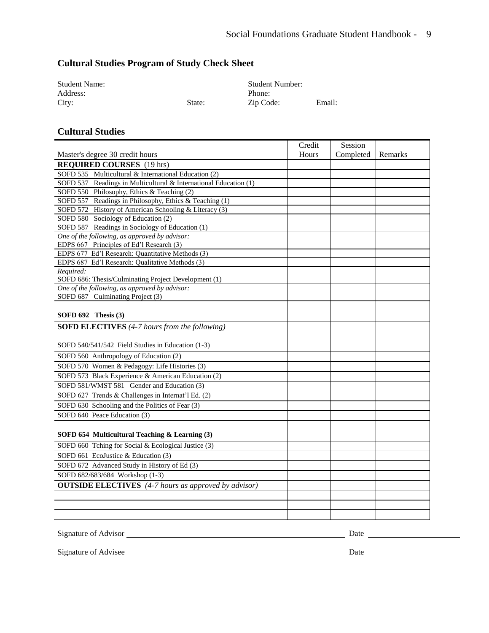# **Cultural Studies Program of Study Check Sheet**

| <b>Student Name:</b> |        | <b>Student Number:</b> |        |
|----------------------|--------|------------------------|--------|
| Address:             |        | Phone:                 |        |
| City:                | State: | Zip Code:              | Email: |

#### **Cultural Studies**

|                                                                  | Credit | Session   |         |
|------------------------------------------------------------------|--------|-----------|---------|
| Master's degree 30 credit hours                                  | Hours  | Completed | Remarks |
| <b>REQUIRED COURSES</b> (19 hrs)                                 |        |           |         |
| SOFD 535 Multicultural & International Education (2)             |        |           |         |
| SOFD 537 Readings in Multicultural & International Education (1) |        |           |         |
| SOFD 550 Philosophy, Ethics & Teaching (2)                       |        |           |         |
| SOFD 557 Readings in Philosophy, Ethics & Teaching (1)           |        |           |         |
| SOFD 572 History of American Schooling & Literacy (3)            |        |           |         |
| SOFD 580 Sociology of Education (2)                              |        |           |         |
| SOFD 587 Readings in Sociology of Education (1)                  |        |           |         |
| One of the following, as approved by advisor:                    |        |           |         |
| EDPS 667 Principles of Ed'l Research (3)                         |        |           |         |
| EDPS 677 Ed'l Research: Quantitative Methods (3)                 |        |           |         |
| EDPS 687 Ed'l Research: Qualitative Methods (3)                  |        |           |         |
| Required:                                                        |        |           |         |
| SOFD 686: Thesis/Culminating Project Development (1)             |        |           |         |
| One of the following, as approved by advisor:                    |        |           |         |
| SOFD 687 Culminating Project (3)                                 |        |           |         |
|                                                                  |        |           |         |
| SOFD $692$ Thesis $(3)$                                          |        |           |         |
| <b>SOFD ELECTIVES</b> (4-7 hours from the following)             |        |           |         |
|                                                                  |        |           |         |
| SOFD 540/541/542 Field Studies in Education (1-3)                |        |           |         |
| SOFD 560 Anthropology of Education (2)                           |        |           |         |
| SOFD 570 Women & Pedagogy: Life Histories (3)                    |        |           |         |
| SOFD 573 Black Experience & American Education (2)               |        |           |         |
| SOFD 581/WMST 581 Gender and Education (3)                       |        |           |         |
| SOFD 627 Trends & Challenges in Internat'l Ed. (2)               |        |           |         |
| SOFD 630 Schooling and the Politics of Fear (3)                  |        |           |         |
| SOFD 640 Peace Education (3)                                     |        |           |         |
|                                                                  |        |           |         |
|                                                                  |        |           |         |
| SOFD 654 Multicultural Teaching & Learning (3)                   |        |           |         |
| SOFD 660 Tching for Social & Ecological Justice (3)              |        |           |         |
| SOFD 661 EcoJustice & Education (3)                              |        |           |         |
| SOFD 672 Advanced Study in History of Ed (3)                     |        |           |         |
| SOFD 682/683/684 Workshop (1-3)                                  |        |           |         |
| <b>OUTSIDE ELECTIVES</b> (4-7 hours as approved by advisor)      |        |           |         |
|                                                                  |        |           |         |
|                                                                  |        |           |         |
|                                                                  |        |           |         |
|                                                                  |        |           |         |

<u> 1980 - Johann Barbara, martxa alemaniar amerikan a</u>

Signature of Advisor Date

Signature of Advisee Date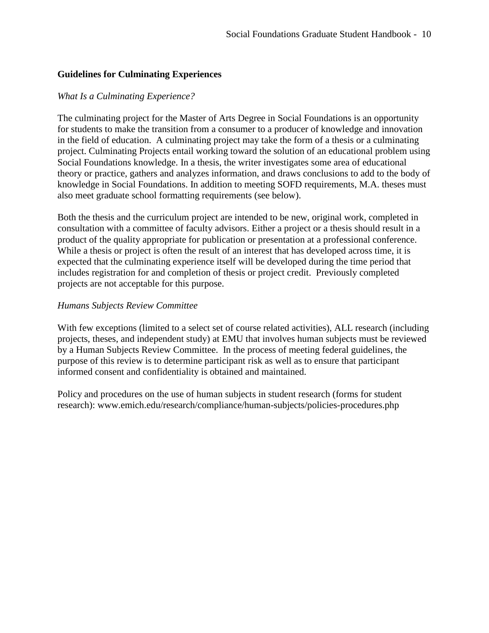## <span id="page-11-0"></span>**Guidelines for Culminating Experiences**

### <span id="page-11-1"></span>*What Is a Culminating Experience?*

The culminating project for the Master of Arts Degree in Social Foundations is an opportunity for students to make the transition from a consumer to a producer of knowledge and innovation in the field of education. A culminating project may take the form of a thesis or a culminating project. Culminating Projects entail working toward the solution of an educational problem using Social Foundations knowledge. In a thesis, the writer investigates some area of educational theory or practice, gathers and analyzes information, and draws conclusions to add to the body of knowledge in Social Foundations. In addition to meeting SOFD requirements, M.A. theses must also meet graduate school formatting requirements (see below).

Both the thesis and the curriculum project are intended to be new, original work, completed in consultation with a committee of faculty advisors. Either a project or a thesis should result in a product of the quality appropriate for publication or presentation at a professional conference. While a thesis or project is often the result of an interest that has developed across time, it is expected that the culminating experience itself will be developed during the time period that includes registration for and completion of thesis or project credit. Previously completed projects are not acceptable for this purpose.

## <span id="page-11-2"></span>*Humans Subjects Review Committee*

With few exceptions (limited to a select set of course related activities), ALL research (including projects, theses, and independent study) at EMU that involves human subjects must be reviewed by a Human Subjects Review Committee. In the process of meeting federal guidelines, the purpose of this review is to determine participant risk as well as to ensure that participant informed consent and confidentiality is obtained and maintained.

Policy and procedures on the use of human subjects in student research (forms for student research): www.emich.edu/research/compliance/human-subjects/policies-procedures.php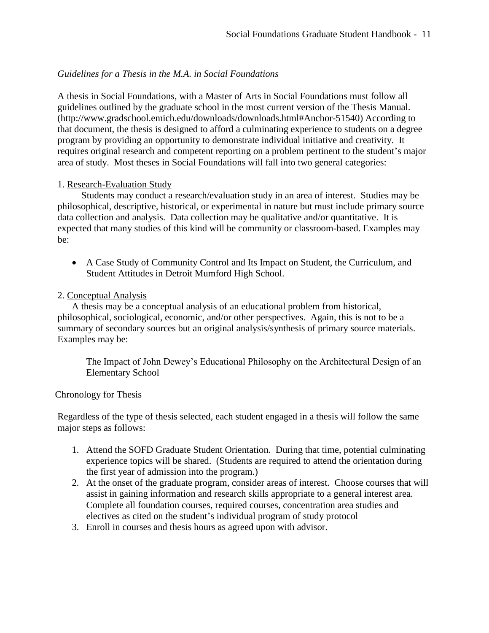## <span id="page-12-0"></span>*Guidelines for a Thesis in the M.A. in Social Foundations*

A thesis in Social Foundations, with a Master of Arts in Social Foundations must follow all guidelines outlined by the graduate school in the most current version of the Thesis Manual. (http://www.gradschool.emich.edu/downloads/downloads.html#Anchor-51540) According to that document, the thesis is designed to afford a culminating experience to students on a degree program by providing an opportunity to demonstrate individual initiative and creativity. It requires original research and competent reporting on a problem pertinent to the student's major area of study. Most theses in Social Foundations will fall into two general categories:

### 1. Research-Evaluation Study

Students may conduct a research/evaluation study in an area of interest. Studies may be philosophical, descriptive, historical, or experimental in nature but must include primary source data collection and analysis. Data collection may be qualitative and/or quantitative. It is expected that many studies of this kind will be community or classroom-based. Examples may be:

 A Case Study of Community Control and Its Impact on Student, the Curriculum, and Student Attitudes in Detroit Mumford High School.

### 2. Conceptual Analysis

A thesis may be a conceptual analysis of an educational problem from historical, philosophical, sociological, economic, and/or other perspectives. Again, this is not to be a summary of secondary sources but an original analysis/synthesis of primary source materials. Examples may be:

The Impact of John Dewey's Educational Philosophy on the Architectural Design of an Elementary School

#### Chronology for Thesis

Regardless of the type of thesis selected, each student engaged in a thesis will follow the same major steps as follows:

- 1. Attend the SOFD Graduate Student Orientation. During that time, potential culminating experience topics will be shared. (Students are required to attend the orientation during the first year of admission into the program.)
- 2. At the onset of the graduate program, consider areas of interest. Choose courses that will assist in gaining information and research skills appropriate to a general interest area. Complete all foundation courses, required courses, concentration area studies and electives as cited on the student's individual program of study protocol
- 3. Enroll in courses and thesis hours as agreed upon with advisor.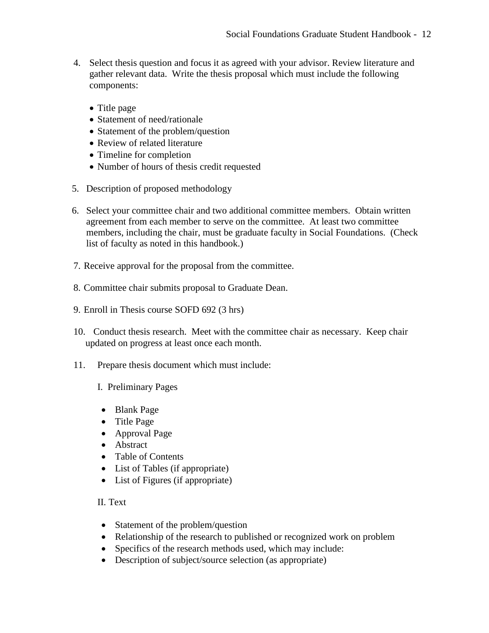- 4. Select thesis question and focus it as agreed with your advisor. Review literature and gather relevant data. Write the thesis proposal which must include the following components:
	- Title page
	- Statement of need/rationale
	- Statement of the problem/question
	- Review of related literature
	- Timeline for completion
	- Number of hours of thesis credit requested
- 5. Description of proposed methodology
- 6. Select your committee chair and two additional committee members. Obtain written agreement from each member to serve on the committee. At least two committee members, including the chair, must be graduate faculty in Social Foundations. (Check list of faculty as noted in this handbook.)
- 7. Receive approval for the proposal from the committee.
- 8. Committee chair submits proposal to Graduate Dean.
- 9. Enroll in Thesis course SOFD 692 (3 hrs)
- 10. Conduct thesis research. Meet with the committee chair as necessary. Keep chair updated on progress at least once each month.
- 11. Prepare thesis document which must include:
	- I. Preliminary Pages
	- Blank Page
	- Title Page
	- Approval Page
	- Abstract
	- Table of Contents
	- List of Tables (if appropriate)
	- List of Figures (if appropriate)

# II. Text

- Statement of the problem/question
- Relationship of the research to published or recognized work on problem
- Specifics of the research methods used, which may include:
- Description of subject/source selection (as appropriate)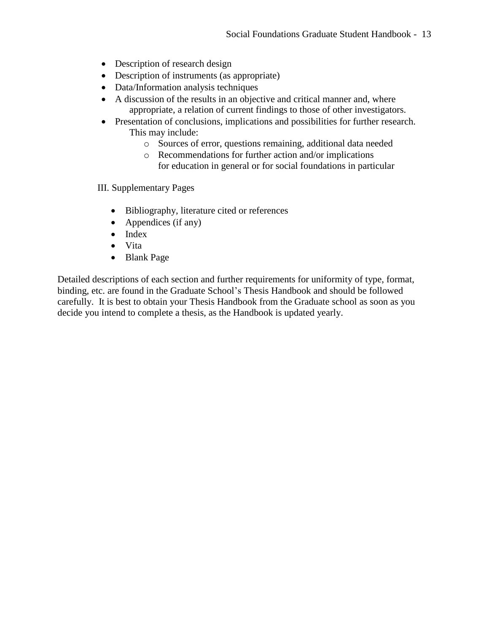- Description of research design
- Description of instruments (as appropriate)
- Data/Information analysis techniques
- A discussion of the results in an objective and critical manner and, where appropriate, a relation of current findings to those of other investigators.
- Presentation of conclusions, implications and possibilities for further research. This may include:
	- o Sources of error, questions remaining, additional data needed
	- o Recommendations for further action and/or implications for education in general or for social foundations in particular

III. Supplementary Pages

- Bibliography, literature cited or references
- Appendices (if any)
- Index
- Vita
- Blank Page

Detailed descriptions of each section and further requirements for uniformity of type, format, binding, etc. are found in the Graduate School's Thesis Handbook and should be followed carefully. It is best to obtain your Thesis Handbook from the Graduate school as soon as you decide you intend to complete a thesis, as the Handbook is updated yearly.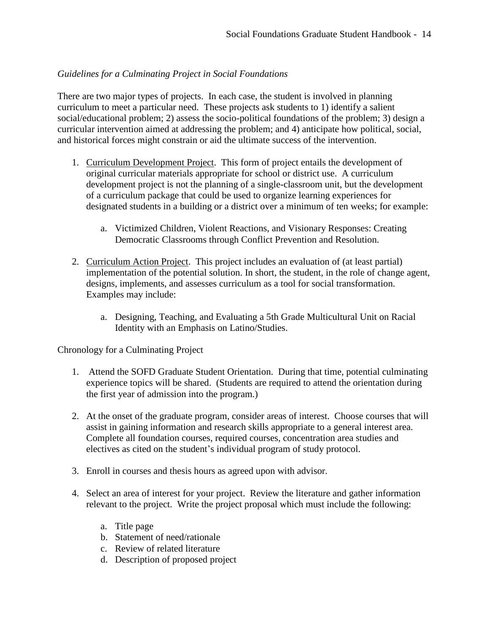# <span id="page-15-0"></span>*Guidelines for a Culminating Project in Social Foundations*

There are two major types of projects. In each case, the student is involved in planning curriculum to meet a particular need. These projects ask students to 1) identify a salient social/educational problem; 2) assess the socio-political foundations of the problem; 3) design a curricular intervention aimed at addressing the problem; and 4) anticipate how political, social, and historical forces might constrain or aid the ultimate success of the intervention.

- 1. Curriculum Development Project. This form of project entails the development of original curricular materials appropriate for school or district use. A curriculum development project is not the planning of a single-classroom unit, but the development of a curriculum package that could be used to organize learning experiences for designated students in a building or a district over a minimum of ten weeks; for example:
	- a. Victimized Children, Violent Reactions, and Visionary Responses: Creating Democratic Classrooms through Conflict Prevention and Resolution.
- 2. Curriculum Action Project. This project includes an evaluation of (at least partial) implementation of the potential solution. In short, the student, in the role of change agent, designs, implements, and assesses curriculum as a tool for social transformation. Examples may include:
	- a. Designing, Teaching, and Evaluating a 5th Grade Multicultural Unit on Racial Identity with an Emphasis on Latino/Studies.

Chronology for a Culminating Project

- 1. Attend the SOFD Graduate Student Orientation. During that time, potential culminating experience topics will be shared. (Students are required to attend the orientation during the first year of admission into the program.)
- 2. At the onset of the graduate program, consider areas of interest. Choose courses that will assist in gaining information and research skills appropriate to a general interest area. Complete all foundation courses, required courses, concentration area studies and electives as cited on the student's individual program of study protocol.
- 3. Enroll in courses and thesis hours as agreed upon with advisor.
- 4. Select an area of interest for your project. Review the literature and gather information relevant to the project. Write the project proposal which must include the following:
	- a. Title page
	- b. Statement of need/rationale
	- c. Review of related literature
	- d. Description of proposed project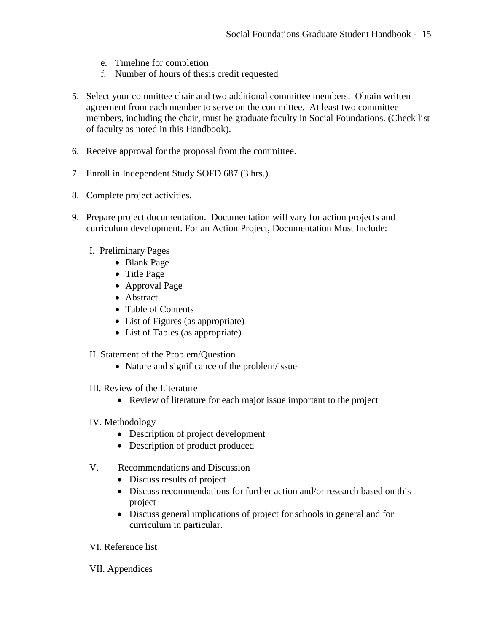- e. Timeline for completion
- f. Number of hours of thesis credit requested
- 5. Select your committee chair and two additional committee members. Obtain written agreement from each member to serve on the committee. At least two committee members, including the chair, must be graduate faculty in Social Foundations. (Check list of faculty as noted in this Handbook).
- 6. Receive approval for the proposal from the committee.
- 7. Enroll in Independent Study SOFD 687 (3 hrs.).
- 8. Complete project activities.
- 9. Prepare project documentation. Documentation will vary for action projects and curriculum development. For an Action Project, Documentation Must Include:
	- I. Preliminary Pages
		- Blank Page
		- Title Page
		- Approval Page
		- Abstract
		- Table of Contents
		- List of Figures (as appropriate)
		- List of Tables (as appropriate)
	- II. Statement of the Problem/Question
		- Nature and significance of the problem/issue
	- III. Review of the Literature
		- Review of literature for each major issue important to the project
	- IV. Methodology
		- Description of project development
		- Description of product produced
	- V. Recommendations and Discussion
		- Discuss results of project
		- Discuss recommendations for further action and/or research based on this project
		- Discuss general implications of project for schools in general and for curriculum in particular.

VI. Reference list

VII. Appendices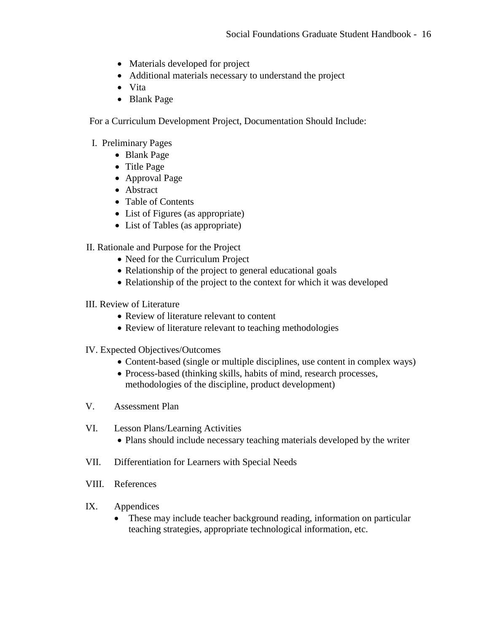- Materials developed for project
- Additional materials necessary to understand the project
- Vita
- Blank Page

For a Curriculum Development Project, Documentation Should Include:

# I. Preliminary Pages

- Blank Page
- Title Page
- Approval Page
- Abstract
- Table of Contents
- List of Figures (as appropriate)
- List of Tables (as appropriate)

# II. Rationale and Purpose for the Project

- Need for the Curriculum Project
- Relationship of the project to general educational goals
- Relationship of the project to the context for which it was developed
- III. Review of Literature
	- Review of literature relevant to content
	- Review of literature relevant to teaching methodologies
- IV. Expected Objectives/Outcomes
	- Content-based (single or multiple disciplines, use content in complex ways)
	- Process-based (thinking skills, habits of mind, research processes, methodologies of the discipline, product development)
- V. Assessment Plan
- VI. Lesson Plans/Learning Activities
	- Plans should include necessary teaching materials developed by the writer
- VII. Differentiation for Learners with Special Needs
- VIII. References
- IX. Appendices
	- These may include teacher background reading, information on particular teaching strategies, appropriate technological information, etc.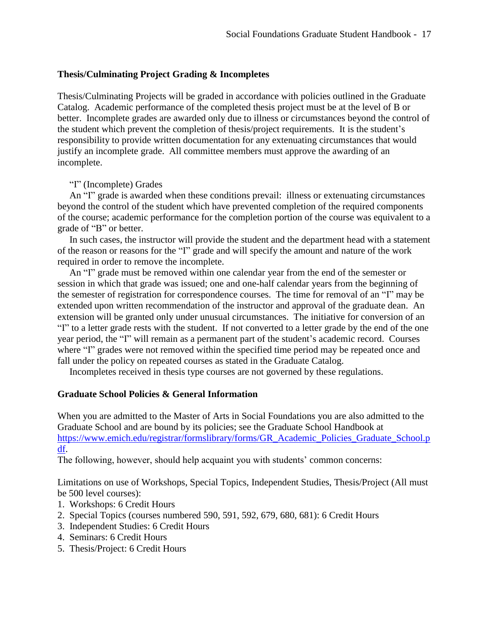## <span id="page-18-0"></span>**Thesis/Culminating Project Grading & Incompletes**

Thesis/Culminating Projects will be graded in accordance with policies outlined in the Graduate Catalog. Academic performance of the completed thesis project must be at the level of B or better. Incomplete grades are awarded only due to illness or circumstances beyond the control of the student which prevent the completion of thesis/project requirements. It is the student's responsibility to provide written documentation for any extenuating circumstances that would justify an incomplete grade. All committee members must approve the awarding of an incomplete.

### "I" (Incomplete) Grades

An "I" grade is awarded when these conditions prevail: illness or extenuating circumstances beyond the control of the student which have prevented completion of the required components of the course; academic performance for the completion portion of the course was equivalent to a grade of "B" or better.

In such cases, the instructor will provide the student and the department head with a statement of the reason or reasons for the "I" grade and will specify the amount and nature of the work required in order to remove the incomplete.

An "I" grade must be removed within one calendar year from the end of the semester or session in which that grade was issued; one and one-half calendar years from the beginning of the semester of registration for correspondence courses. The time for removal of an "I" may be extended upon written recommendation of the instructor and approval of the graduate dean. An extension will be granted only under unusual circumstances. The initiative for conversion of an "I" to a letter grade rests with the student. If not converted to a letter grade by the end of the one year period, the "I" will remain as a permanent part of the student's academic record. Courses where "I" grades were not removed within the specified time period may be repeated once and fall under the policy on repeated courses as stated in the Graduate Catalog.

Incompletes received in thesis type courses are not governed by these regulations.

### <span id="page-18-1"></span>**Graduate School Policies & General Information**

When you are admitted to the Master of Arts in Social Foundations you are also admitted to the Graduate School and are bound by its policies; see the Graduate School Handbook at [https://www.emich.edu/registrar/formslibrary/forms/GR\\_Academic\\_Policies\\_Graduate\\_School.p](https://www.emich.edu/registrar/formslibrary/forms/GR_Academic_Policies_Graduate_School.pdf) [df.](https://www.emich.edu/registrar/formslibrary/forms/GR_Academic_Policies_Graduate_School.pdf)

The following, however, should help acquaint you with students' common concerns:

Limitations on use of Workshops, Special Topics, Independent Studies, Thesis/Project (All must be 500 level courses):

- 1. Workshops: 6 Credit Hours
- 2. Special Topics (courses numbered 590, 591, 592, 679, 680, 681): 6 Credit Hours
- 3. Independent Studies: 6 Credit Hours
- 4. Seminars: 6 Credit Hours
- 5. Thesis/Project: 6 Credit Hours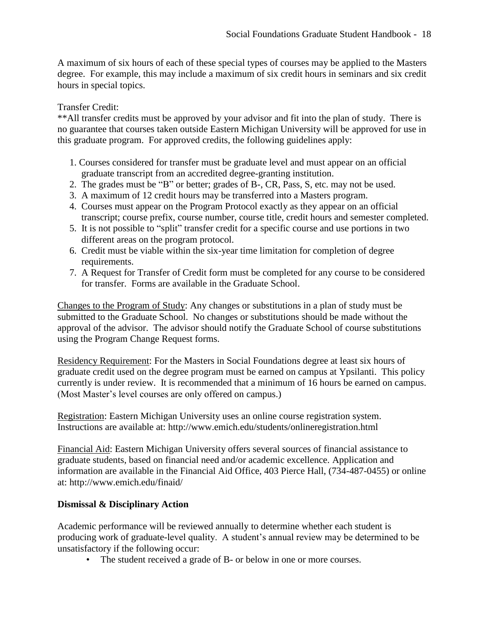A maximum of six hours of each of these special types of courses may be applied to the Masters degree. For example, this may include a maximum of six credit hours in seminars and six credit hours in special topics.

# Transfer Credit:

\*\*All transfer credits must be approved by your advisor and fit into the plan of study. There is no guarantee that courses taken outside Eastern Michigan University will be approved for use in this graduate program. For approved credits, the following guidelines apply:

- 1. Courses considered for transfer must be graduate level and must appear on an official graduate transcript from an accredited degree-granting institution.
- 2. The grades must be "B" or better; grades of B-, CR, Pass, S, etc. may not be used.
- 3. A maximum of 12 credit hours may be transferred into a Masters program.
- 4. Courses must appear on the Program Protocol exactly as they appear on an official transcript; course prefix, course number, course title, credit hours and semester completed.
- 5. It is not possible to "split" transfer credit for a specific course and use portions in two different areas on the program protocol.
- 6. Credit must be viable within the six-year time limitation for completion of degree requirements.
- 7. A Request for Transfer of Credit form must be completed for any course to be considered for transfer. Forms are available in the Graduate School.

Changes to the Program of Study: Any changes or substitutions in a plan of study must be submitted to the Graduate School. No changes or substitutions should be made without the approval of the advisor. The advisor should notify the Graduate School of course substitutions using the Program Change Request forms.

Residency Requirement: For the Masters in Social Foundations degree at least six hours of graduate credit used on the degree program must be earned on campus at Ypsilanti. This policy currently is under review. It is recommended that a minimum of 16 hours be earned on campus. (Most Master's level courses are only offered on campus.)

Registration: Eastern Michigan University uses an online course registration system. Instructions are available at: http://www.emich.edu/students/onlineregistration.html

Financial Aid: Eastern Michigan University offers several sources of financial assistance to graduate students, based on financial need and/or academic excellence. Application and information are available in the Financial Aid Office, 403 Pierce Hall, (734-487-0455) or online at: http://www.emich.edu/finaid/

# **Dismissal & Disciplinary Action**

Academic performance will be reviewed annually to determine whether each student is producing work of graduate-level quality. A student's annual review may be determined to be unsatisfactory if the following occur:

• The student received a grade of B- or below in one or more courses.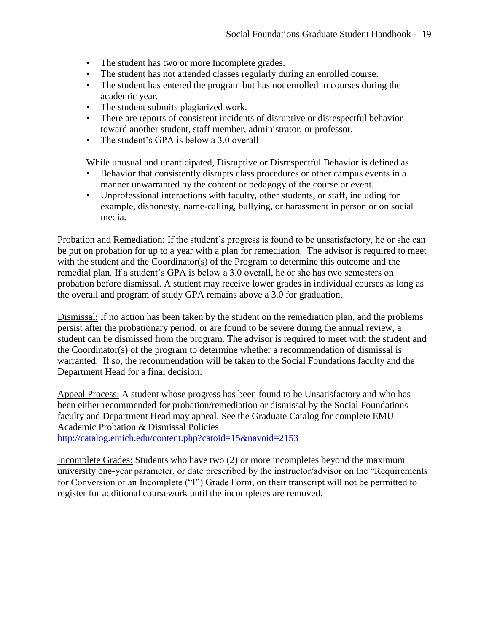- The student has two or more Incomplete grades.
- The student has not attended classes regularly during an enrolled course.
- The student has entered the program but has not enrolled in courses during the academic year.
- The student submits plagiarized work.
- There are reports of consistent incidents of disruptive or disrespectful behavior toward another student, staff member, administrator, or professor.
- The student's GPA is below a 3.0 overall

While unusual and unanticipated, Disruptive or Disrespectful Behavior is defined as

- Behavior that consistently disrupts class procedures or other campus events in a manner unwarranted by the content or pedagogy of the course or event.
- Unprofessional interactions with faculty, other students, or staff, including for example, dishonesty, name-calling, bullying, or harassment in person or on social media.

Probation and Remediation: If the student's progress is found to be unsatisfactory, he or she can be put on probation for up to a year with a plan for remediation. The advisor is required to meet with the student and the Coordinator(s) of the Program to determine this outcome and the remedial plan. If a student's GPA is below a 3.0 overall, he or she has two semesters on probation before dismissal. A student may receive lower grades in individual courses as long as the overall and program of study GPA remains above a 3.0 for graduation.

Dismissal: If no action has been taken by the student on the remediation plan, and the problems persist after the probationary period, or are found to be severe during the annual review, a student can be dismissed from the program. The advisor is required to meet with the student and the Coordinator(s) of the program to determine whether a recommendation of dismissal is warranted. If so, the recommendation will be taken to the Social Foundations faculty and the Department Head for a final decision.

Appeal Process: A student whose progress has been found to be Unsatisfactory and who has been either recommended for probation/remediation or dismissal by the Social Foundations faculty and Department Head may appeal. See the Graduate Catalog for complete EMU Academic Probation & Dismissal Policies <http://catalog.emich.edu/content.php?catoid=15&navoid=2153>

Incomplete Grades: Students who have two (2) or more incompletes beyond the maximum university one-year parameter, or date prescribed by the instructor/advisor on the "Requirements for Conversion of an Incomplete ("I") Grade Form, on their transcript will not be permitted to register for additional coursework until the incompletes are removed.